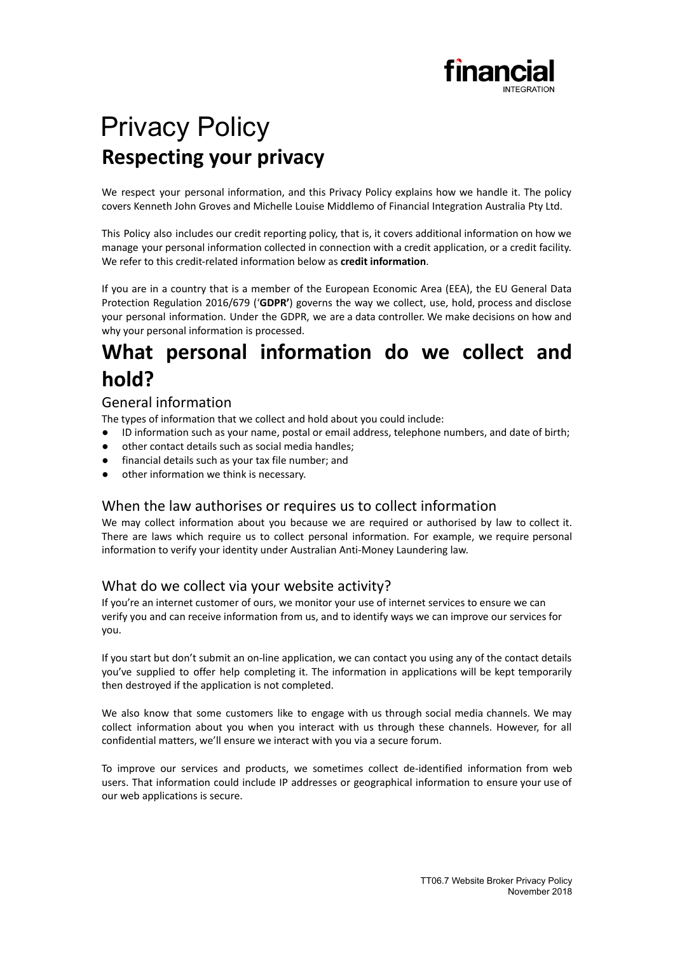

# Privacy Policy **Respecting your privacy**

We respect your personal information, and this Privacy Policy explains how we handle it. The policy covers Kenneth John Groves and Michelle Louise Middlemo of Financial Integration Australia Pty Ltd.

This Policy also includes our credit reporting policy, that is, it covers additional information on how we manage your personal information collected in connection with a credit application, or a credit facility. We refer to this credit-related information below as **credit information**.

If you are in a country that is a member of the European Economic Area (EEA), the EU General Data Protection Regulation 2016/679 ('**GDPR'**) governs the way we collect, use, hold, process and disclose your personal information. Under the GDPR, we are a data controller. We make decisions on how and why your personal information is processed.

## **What personal information do we collect and hold?**

## General information

The types of information that we collect and hold about you could include:

- ID information such as your name, postal or email address, telephone numbers, and date of birth;
- other contact details such as social media handles;
- financial details such as your tax file number; and
- other information we think is necessary.

### When the law authorises or requires us to collect information

We may collect information about you because we are required or authorised by law to collect it. There are laws which require us to collect personal information. For example, we require personal information to verify your identity under Australian Anti-Money Laundering law.

## What do we collect via your website activity?

If you're an internet customer of ours, we monitor your use of internet services to ensure we can verify you and can receive information from us, and to identify ways we can improve our services for you.

If you start but don't submit an on-line application, we can contact you using any of the contact details you've supplied to offer help completing it. The information in applications will be kept temporarily then destroyed if the application is not completed.

We also know that some customers like to engage with us through social media channels. We may collect information about you when you interact with us through these channels. However, for all confidential matters, we'll ensure we interact with you via a secure forum.

To improve our services and products, we sometimes collect de-identified information from web users. That information could include IP addresses or geographical information to ensure your use of our web applications is secure.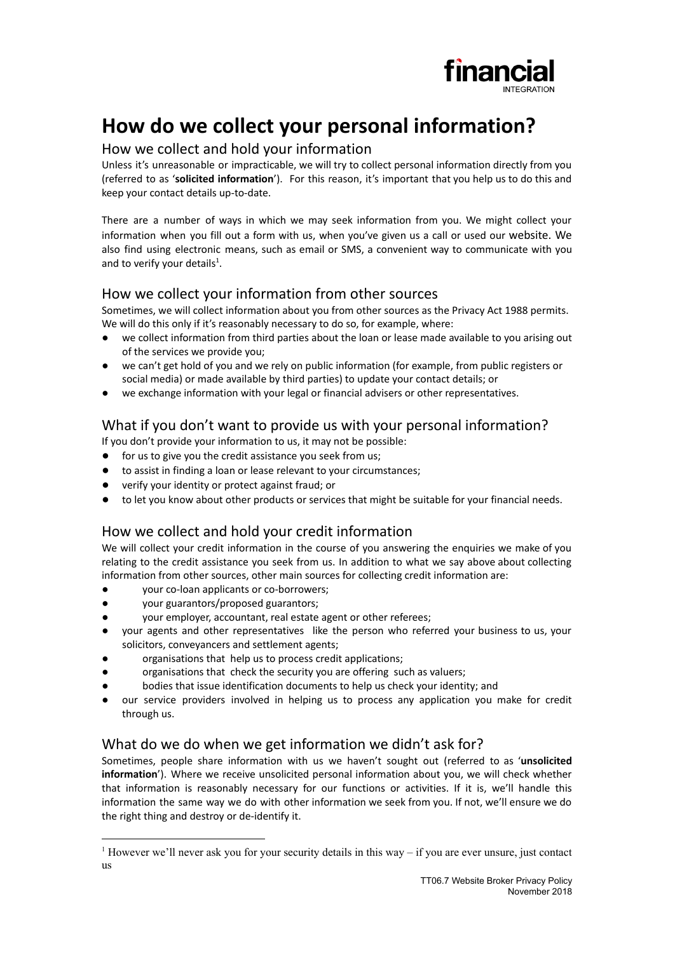

## **How do we collect your personal information?**

### How we collect and hold your information

Unless it's unreasonable or impracticable, we will try to collect personal information directly from you (referred to as '**solicited information**'). For this reason, it's important that you help us to do this and keep your contact details up-to-date.

There are a number of ways in which we may seek information from you. We might collect your information when you fill out a form with us, when you've given us a call or used our website. We also find using electronic means, such as email or SMS, a convenient way to communicate with you and to verify your details<sup>1</sup>.

## How we collect your information from other sources

Sometimes, we will collect information about you from other sources as the Privacy Act 1988 permits. We will do this only if it's reasonably necessary to do so, for example, where:

- we collect information from third parties about the loan or lease made available to you arising out of the services we provide you;
- we can't get hold of you and we rely on public information (for example, from public registers or social media) or made available by third parties) to update your contact details; or
- we exchange information with your legal or financial advisers or other representatives.

## What if you don't want to provide us with your personal information?

If you don't provide your information to us, it may not be possible:

- for us to give you the credit assistance you seek from us;
- to assist in finding a loan or lease relevant to your circumstances;
- verify your identity or protect against fraud; or
- to let you know about other products or services that might be suitable for your financial needs.

## How we collect and hold your credit information

We will collect your credit information in the course of you answering the enquiries we make of you relating to the credit assistance you seek from us. In addition to what we say above about collecting information from other sources, other main sources for collecting credit information are:

- your co-loan applicants or co-borrowers;
- your guarantors/proposed guarantors;
- your employer, accountant, real estate agent or other referees;
- your agents and other representatives like the person who referred your business to us, your solicitors, conveyancers and settlement agents;
- organisations that help us to process credit applications;
- organisations that check the security you are offering such as valuers;
- bodies that issue identification documents to help us check your identity; and
- our service providers involved in helping us to process any application you make for credit through us.

## What do we do when we get information we didn't ask for?

Sometimes, people share information with us we haven't sought out (referred to as '**unsolicited information**'). Where we receive unsolicited personal information about you, we will check whether that information is reasonably necessary for our functions or activities. If it is, we'll handle this information the same way we do with other information we seek from you. If not, we'll ensure we do the right thing and destroy or de-identify it.

<sup>&</sup>lt;sup>1</sup> However we'll never ask you for your security details in this way – if you are ever unsure, just contact us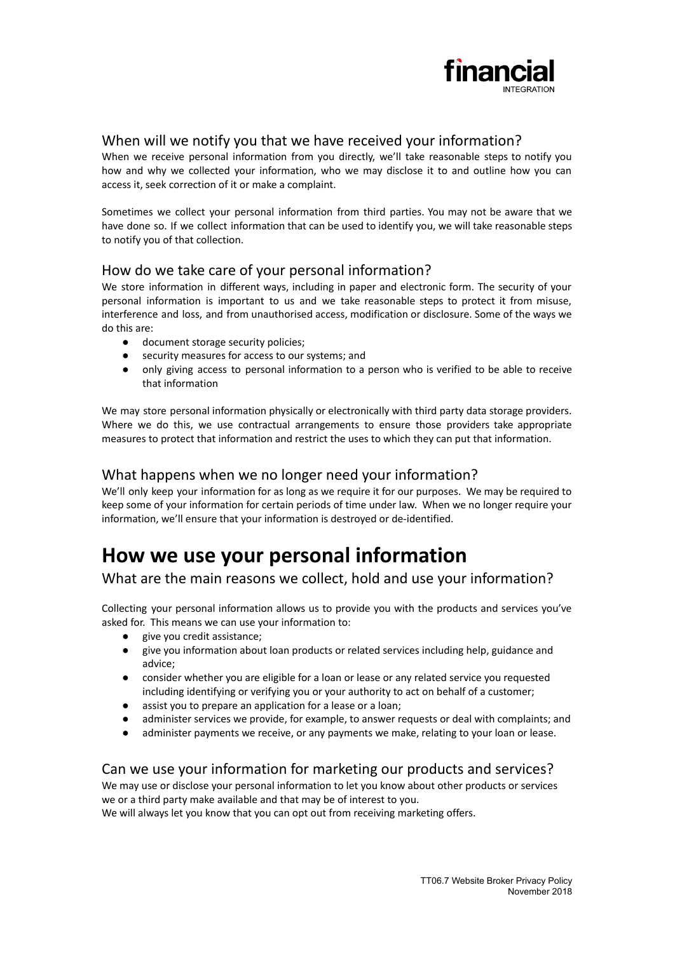

### When will we notify you that we have received your information?

When we receive personal information from you directly, we'll take reasonable steps to notify you how and why we collected your information, who we may disclose it to and outline how you can access it, seek correction of it or make a complaint.

Sometimes we collect your personal information from third parties. You may not be aware that we have done so. If we collect information that can be used to identify you, we will take reasonable steps to notify you of that collection.

### How do we take care of your personal information?

We store information in different ways, including in paper and electronic form. The security of your personal information is important to us and we take reasonable steps to protect it from misuse, interference and loss, and from unauthorised access, modification or disclosure. Some of the ways we do this are:

- document storage security policies:
- security measures for access to our systems; and
- only giving access to personal information to a person who is verified to be able to receive that information

We may store personal information physically or electronically with third party data storage providers. Where we do this, we use contractual arrangements to ensure those providers take appropriate measures to protect that information and restrict the uses to which they can put that information.

#### What happens when we no longer need your information?

We'll only keep your information for as long as we require it for our purposes. We may be required to keep some of your information for certain periods of time under law. When we no longer require your information, we'll ensure that your information is destroyed or de-identified.

## **How we use your personal information**

What are the main reasons we collect, hold and use your information?

Collecting your personal information allows us to provide you with the products and services you've asked for. This means we can use your information to:

- give you credit assistance;
- give you information about loan products or related services including help, guidance and advice;
- consider whether you are eligible for a loan or lease or any related service you requested including identifying or verifying you or your authority to act on behalf of a customer;
- assist you to prepare an application for a lease or a loan;
- administer services we provide, for example, to answer requests or deal with complaints; and
- administer payments we receive, or any payments we make, relating to your loan or lease.

## Can we use your information for marketing our products and services?

We may use or disclose your personal information to let you know about other products or services we or a third party make available and that may be of interest to you.

We will always let you know that you can opt out from receiving marketing offers.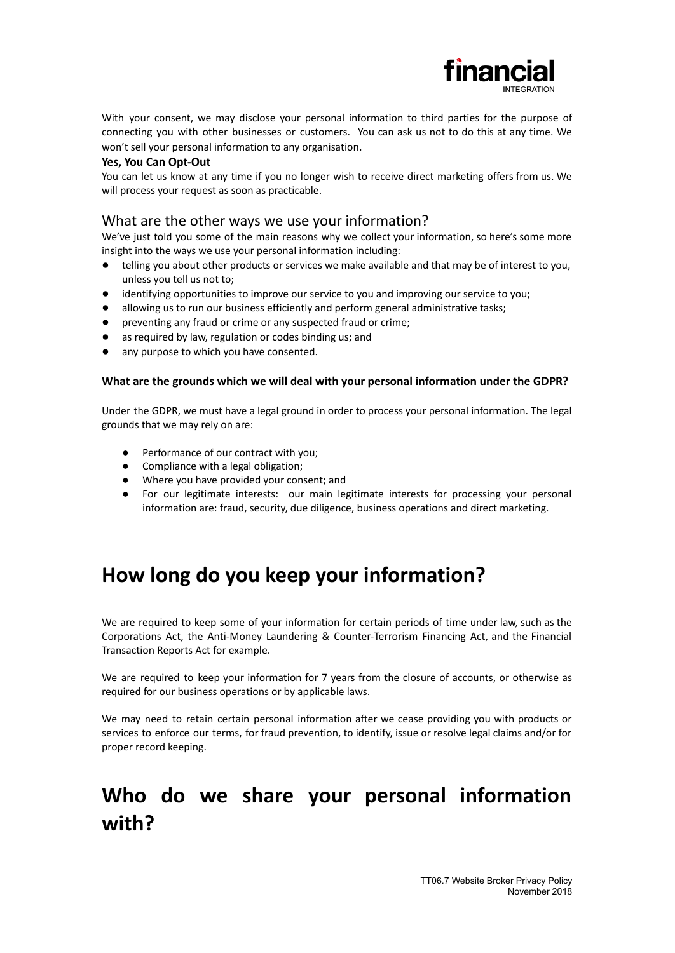

With your consent, we may disclose your personal information to third parties for the purpose of connecting you with other businesses or customers. You can ask us not to do this at any time. We won't sell your personal information to any organisation.

#### **Yes, You Can Opt-Out**

You can let us know at any time if you no longer wish to receive direct marketing offers from us. We will process your request as soon as practicable.

#### What are the other ways we use your information?

We've just told you some of the main reasons why we collect your information, so here's some more insight into the ways we use your personal information including:

- telling you about other products or services we make available and that may be of interest to you, unless you tell us not to;
- identifying opportunities to improve our service to you and improving our service to you;
- allowing us to run our business efficiently and perform general administrative tasks;
- preventing any fraud or crime or any suspected fraud or crime;
- as required by law, regulation or codes binding us; and
- any purpose to which you have consented.

#### **What are the grounds which we will deal with your personal information under the GDPR?**

Under the GDPR, we must have a legal ground in order to process your personal information. The legal grounds that we may rely on are:

- Performance of our contract with you;
- Compliance with a legal obligation;
- Where you have provided your consent; and
- For our legitimate interests: our main legitimate interests for processing your personal information are: fraud, security, due diligence, business operations and direct marketing.

## **How long do you keep your information?**

We are required to keep some of your information for certain periods of time under law, such as the Corporations Act, the Anti-Money Laundering & Counter-Terrorism Financing Act, and the Financial Transaction Reports Act for example.

We are required to keep your information for 7 years from the closure of accounts, or otherwise as required for our business operations or by applicable laws.

We may need to retain certain personal information after we cease providing you with products or services to enforce our terms, for fraud prevention, to identify, issue or resolve legal claims and/or for proper record keeping.

## **Who do we share your personal information with?**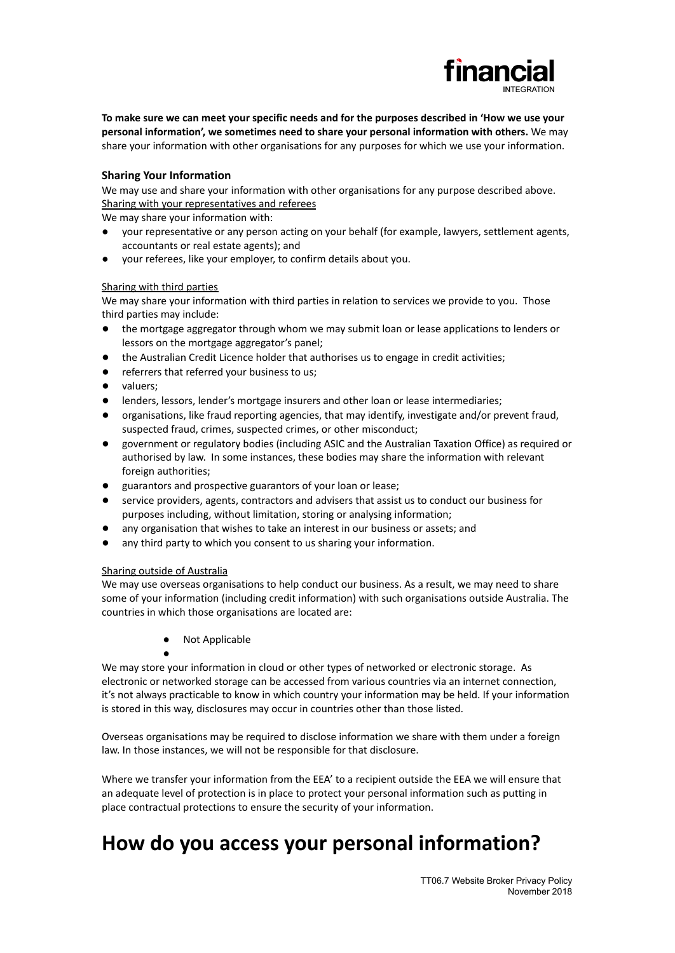

To make sure we can meet your specific needs and for the purposes described in 'How we use your **personal information', we sometimes need to share your personal information with others.** We may share your information with other organisations for any purposes for which we use your information.

#### **Sharing Your Information**

We may use and share your information with other organisations for any purpose described above. Sharing with your representatives and referees

We may share your information with:

- your representative or any person acting on your behalf (for example, lawyers, settlement agents, accountants or real estate agents); and
- your referees, like your employer, to confirm details about you.

#### Sharing with third parties

We may share your information with third parties in relation to services we provide to you. Those third parties may include:

- the mortgage aggregator through whom we may submit loan or lease applications to lenders or lessors on the mortgage aggregator's panel;
- the Australian Credit Licence holder that authorises us to engage in credit activities;
- referrers that referred your business to us:
- valuers;
- lenders, lessors, lender's mortgage insurers and other loan or lease intermediaries;
- organisations, like fraud reporting agencies, that may identify, investigate and/or prevent fraud, suspected fraud, crimes, suspected crimes, or other misconduct;
- government or regulatory bodies (including ASIC and the Australian Taxation Office) as required or authorised by law. In some instances, these bodies may share the information with relevant foreign authorities;
- guarantors and prospective guarantors of your loan or lease;
- service providers, agents, contractors and advisers that assist us to conduct our business for purposes including, without limitation, storing or analysing information;
- any organisation that wishes to take an interest in our business or assets; and
- any third party to which you consent to us sharing your information.

#### Sharing outside of Australia

●

We may use overseas organisations to help conduct our business. As a result, we may need to share some of your information (including credit information) with such organisations outside Australia. The countries in which those organisations are located are:

● Not Applicable

We may store your information in cloud or other types of networked or electronic storage. As electronic or networked storage can be accessed from various countries via an internet connection, it's not always practicable to know in which country your information may be held. If your information is stored in this way, disclosures may occur in countries other than those listed.

Overseas organisations may be required to disclose information we share with them under a foreign law. In those instances, we will not be responsible for that disclosure.

Where we transfer your information from the EEA' to a recipient outside the EEA we will ensure that an adequate level of protection is in place to protect your personal information such as putting in place contractual protections to ensure the security of your information.

## **How do you access your personal information?**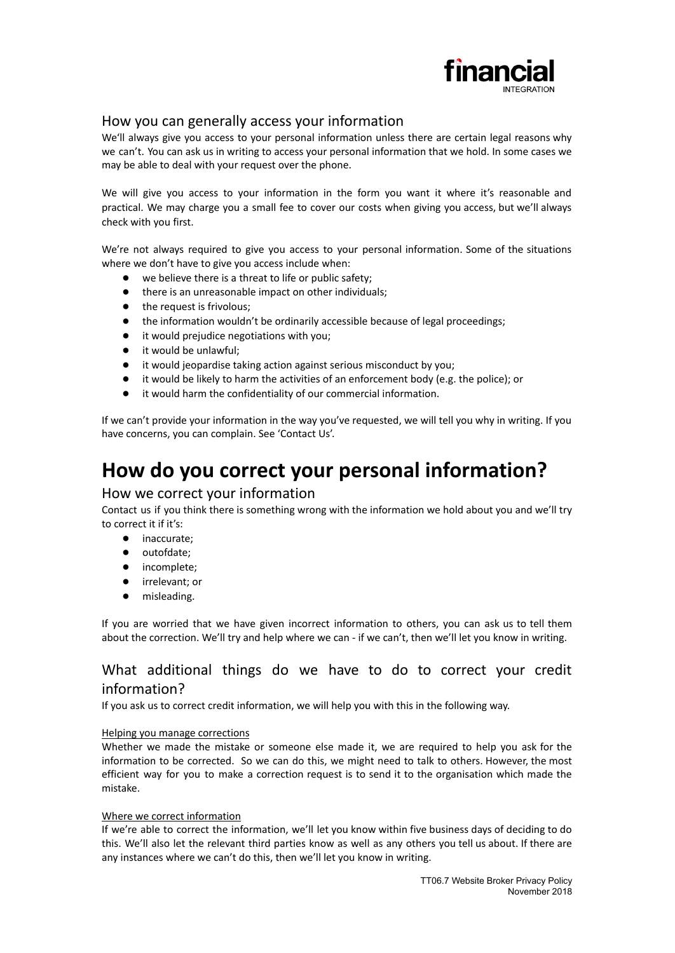

### How you can generally access your information

We'll always give you access to your personal information unless there are certain legal reasons why we can't. You can ask us in writing to access your personal information that we hold. In some cases we may be able to deal with your request over the phone.

We will give you access to your information in the form you want it where it's reasonable and practical. We may charge you a small fee to cover our costs when giving you access, but we'll always check with you first.

We're not always required to give you access to your personal information. Some of the situations where we don't have to give you access include when:

- we believe there is a threat to life or public safety;
- there is an unreasonable impact on other individuals;
- the request is frivolous;
- the information wouldn't be ordinarily accessible because of legal proceedings;
- it would prejudice negotiations with you;
- it would be unlawful;
- it would jeopardise taking action against serious misconduct by you;
- it would be likely to harm the activities of an enforcement body (e.g. the police); or
- it would harm the confidentiality of our commercial information.

If we can't provide your information in the way you've requested, we will tell you why in writing. If you have concerns, you can complain. See 'Contact Us'.

## **How do you correct your personal information?**

#### How we correct your information

Contact us if you think there is something wrong with the information we hold about you and we'll try to correct it if it's:

- inaccurate;
- outofdate;
- incomplete;
- irrelevant; or
- misleading.

If you are worried that we have given incorrect information to others, you can ask us to tell them about the correction. We'll try and help where we can - if we can't, then we'll let you know in writing.

## What additional things do we have to do to correct your credit information?

If you ask us to correct credit information, we will help you with this in the following way.

#### Helping you manage corrections

Whether we made the mistake or someone else made it, we are required to help you ask for the information to be corrected. So we can do this, we might need to talk to others. However, the most efficient way for you to make a correction request is to send it to the organisation which made the mistake.

#### Where we correct information

If we're able to correct the information, we'll let you know within five business days of deciding to do this. We'll also let the relevant third parties know as well as any others you tell us about. If there are any instances where we can't do this, then we'll let you know in writing.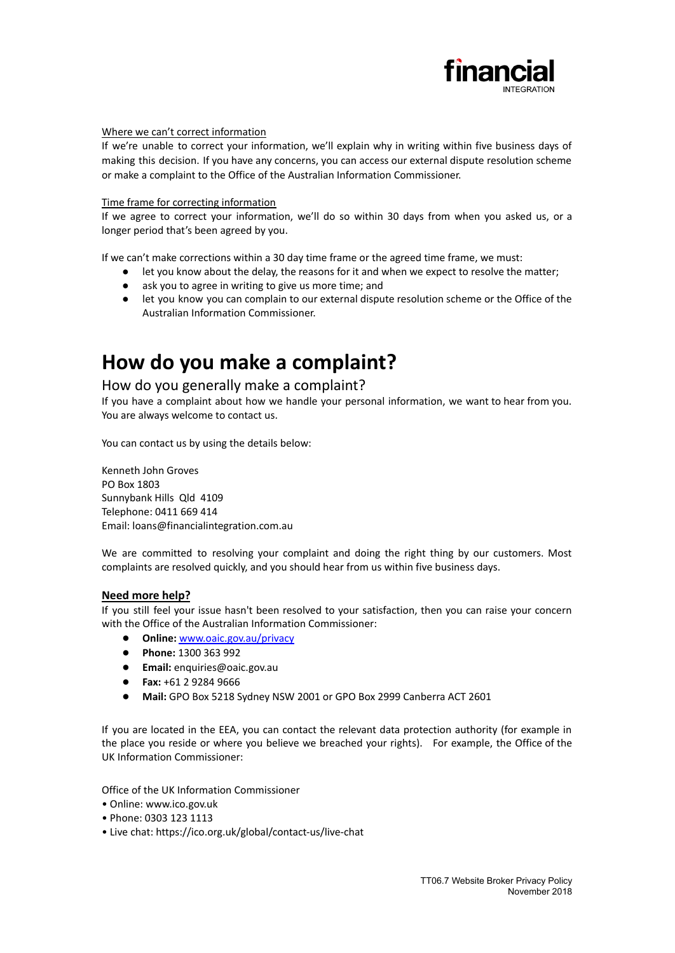

#### Where we can't correct information

If we're unable to correct your information, we'll explain why in writing within five business days of making this decision. If you have any concerns, you can access our external dispute resolution scheme or make a complaint to the Office of the Australian Information Commissioner.

#### Time frame for correcting information

If we agree to correct your information, we'll do so within 30 days from when you asked us, or a longer period that's been agreed by you.

If we can't make corrections within a 30 day time frame or the agreed time frame, we must:

- let you know about the delay, the reasons for it and when we expect to resolve the matter;
- ask you to agree in writing to give us more time; and
- let you know you can complain to our external dispute resolution scheme or the Office of the Australian Information Commissioner.

## **How do you make a complaint?**

#### How do you generally make a complaint?

If you have a complaint about how we handle your personal information, we want to hear from you. You are always welcome to contact us.

You can contact us by using the details below:

Kenneth John Groves PO Box 1803 Sunnybank Hills Qld 4109 Telephone: 0411 669 414 Email: loans@financialintegration.com.au

We are committed to resolving your complaint and doing the right thing by our customers. Most complaints are resolved quickly, and you should hear from us within five business days.

#### **Need more help?**

If you still feel your issue hasn't been resolved to your satisfaction, then you can raise your concern with the Office of the Australian Information Commissioner:

- **Online:** [www.oaic.gov.au/privacy](http://www.oaic.gov.au/privacy)
- **Phone:** 1300 363 992
- **Email:** [enquiries@oaic.gov.au](mailto:enquiries@oaic.gov.au)
- **Fax:** +61 2 9284 9666
- **Mail:** GPO Box 5218 Sydney NSW 2001 or GPO Box 2999 Canberra ACT 2601

If you are located in the EEA, you can contact the relevant data protection authority (for example in the place you reside or where you believe we breached your rights). For example, the Office of the UK Information Commissioner:

Office of the UK Information Commissioner

- Online: www.ico.gov.uk
- Phone: 0303 123 1113
- Live chat: <https://ico.org.uk/global/contact-us/live-chat>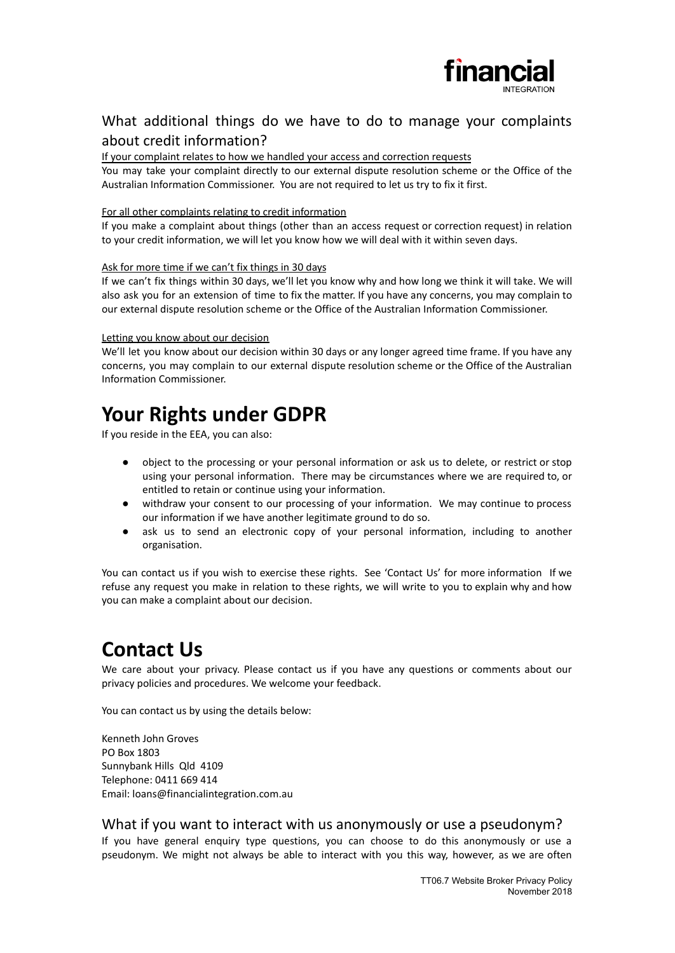

## What additional things do we have to do to manage your complaints about credit information?

#### If your complaint relates to how we handled your access and correction requests

You may take your complaint directly to our external dispute resolution scheme or the Office of the Australian Information Commissioner. You are not required to let us try to fix it first.

#### For all other complaints relating to credit information

If you make a complaint about things (other than an access request or correction request) in relation to your credit information, we will let you know how we will deal with it within seven days.

#### Ask for more time if we can't fix things in 30 days

If we can't fix things within 30 days, we'll let you know why and how long we think it will take. We will also ask you for an extension of time to fix the matter. If you have any concerns, you may complain to our external dispute resolution scheme or the Office of the Australian Information Commissioner.

#### Letting you know about our decision

We'll let you know about our decision within 30 days or any longer agreed time frame. If you have any concerns, you may complain to our external dispute resolution scheme or the Office of the Australian Information Commissioner.

## **Your Rights under GDPR**

If you reside in the EEA, you can also:

- object to the processing or your personal information or ask us to delete, or restrict or stop using your personal information. There may be circumstances where we are required to, or entitled to retain or continue using your information.
- withdraw your consent to our processing of your information. We may continue to process our information if we have another legitimate ground to do so.
- ask us to send an electronic copy of your personal information, including to another organisation.

You can contact us if you wish to exercise these rights. See 'Contact Us' for more information If we refuse any request you make in relation to these rights, we will write to you to explain why and how you can make a complaint about our decision.

## **Contact Us**

We care about your privacy. Please contact us if you have any questions or comments about our privacy policies and procedures. We welcome your feedback.

You can contact us by using the details below:

Kenneth John Groves PO Box 1803 Sunnybank Hills Qld 4109 Telephone: 0411 669 414 Email: loans@financialintegration.com.au

#### What if you want to interact with us anonymously or use a pseudonym?

If you have general enquiry type questions, you can choose to do this anonymously or use a pseudonym. We might not always be able to interact with you this way, however, as we are often